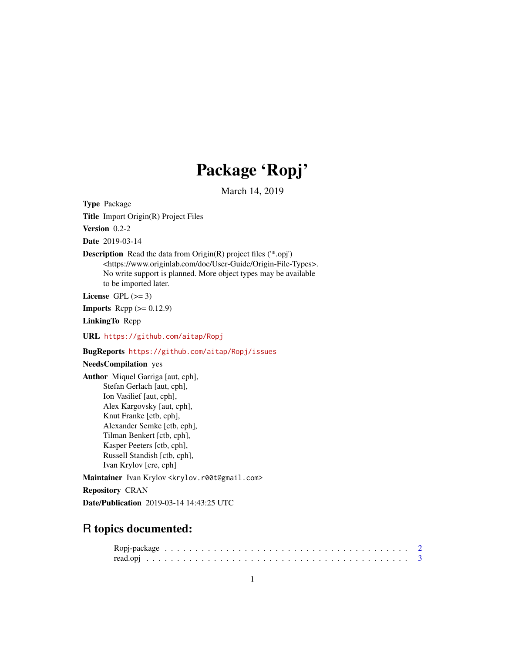## Package 'Ropj'

March 14, 2019

<span id="page-0-0"></span>Type Package

Title Import Origin(R) Project Files

Version 0.2-2

Date 2019-03-14

## Description Read the data from Origin(R) project files ('\*.opj') <https://www.originlab.com/doc/User-Guide/Origin-File-Types>. No write support is planned. More object types may be available to be imported later.

License GPL  $(>= 3)$ 

**Imports** Rcpp  $(>= 0.12.9)$ 

LinkingTo Rcpp

URL <https://github.com/aitap/Ropj>

## BugReports <https://github.com/aitap/Ropj/issues>

## NeedsCompilation yes

Author Miquel Garriga [aut, cph], Stefan Gerlach [aut, cph], Ion Vasilief [aut, cph], Alex Kargovsky [aut, cph], Knut Franke [ctb, cph], Alexander Semke [ctb, cph], Tilman Benkert [ctb, cph], Kasper Peeters [ctb, cph], Russell Standish [ctb, cph], Ivan Krylov [cre, cph]

Maintainer Ivan Krylov <krylov.r00t@gmail.com>

Repository CRAN

Date/Publication 2019-03-14 14:43:25 UTC

## R topics documented: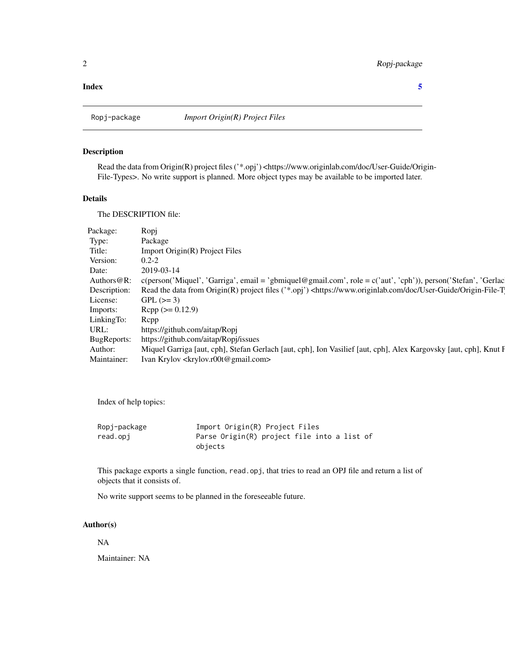#### <span id="page-1-0"></span>**Index** [5](#page-4-0). The second state of the second state of the second state of the second state of the second state of the second state of the second state of the second state of the second state of the second state of the second

#### Description

Read the data from Origin(R) project files ('\*.opj') <https://www.originlab.com/doc/User-Guide/Origin-File-Types>. No write support is planned. More object types may be available to be imported later.

#### Details

The DESCRIPTION file:

| Package:                       |                                                                                                                                                       |
|--------------------------------|-------------------------------------------------------------------------------------------------------------------------------------------------------|
|                                | Package                                                                                                                                               |
|                                |                                                                                                                                                       |
|                                | Import Origin(R) Project Files                                                                                                                        |
| Version: 0.2-2                 |                                                                                                                                                       |
| Date:                          | 2010.02.14                                                                                                                                            |
|                                |                                                                                                                                                       |
|                                | Authors@R: c(person('Miquel', 'Garriga', email = 'gbmiquel@gmail.com', role = c('aut', 'cph')), person('Stefan', 'Gerlac                              |
|                                | Description: Read the data from Origin(R) project files ('*.opj') <https: doc="" origin-file-t<="" td="" user-guide="" www.originlab.com=""></https:> |
| License: GPL $(>= 3)$          |                                                                                                                                                       |
| Imports: Rcpp ( $> = 0.12.9$ ) |                                                                                                                                                       |
|                                |                                                                                                                                                       |
| LinkingTo: Repp                |                                                                                                                                                       |
|                                | URL: https://github.com/aitap/Ropj<br>BugReports: https://github.com/aitap/Ropj/issues                                                                |
|                                |                                                                                                                                                       |
|                                | Author: Miquel Garriga [aut, cph], Stefan Gerlach [aut, cph], Ion Vasilief [aut, cph], Alex Kargovsky [aut, cph], Knut F                              |
|                                | Maintainer: Ivan Krylov <krylov.r00t@gmail.com></krylov.r00t@gmail.com>                                                                               |
|                                |                                                                                                                                                       |

Index of help topics:

| Ropj-package | Import Origin(R) Project Files              |
|--------------|---------------------------------------------|
| read.opj     | Parse Origin(R) project file into a list of |
|              | objects                                     |

This package exports a single function, read.opj, that tries to read an OPJ file and return a list of objects that it consists of.

No write support seems to be planned in the foreseeable future.

#### Author(s)

NA

Maintainer: NA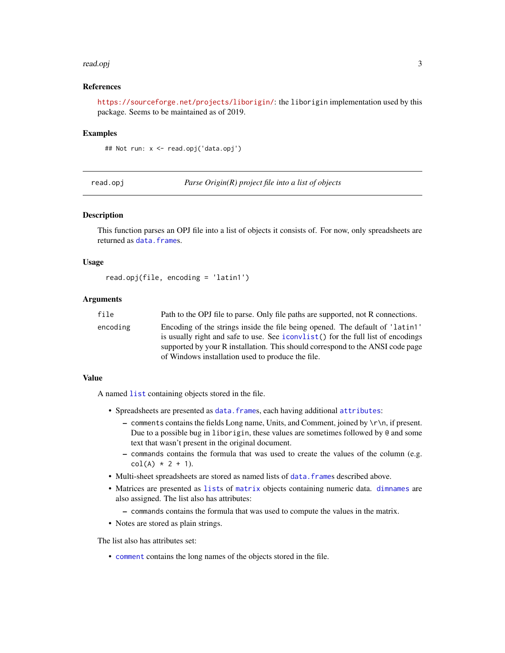#### <span id="page-2-0"></span>read.opj 3

#### References

<https://sourceforge.net/projects/liborigin/>: the liborigin implementation used by this package. Seems to be maintained as of 2019.

#### Examples

## Not run: x <- read.opj('data.opj')

read.opj *Parse Origin(R) project file into a list of objects*

#### Description

This function parses an OPJ file into a list of objects it consists of. For now, only spreadsheets are returned as [data.frame](#page-0-0)s.

#### Usage

```
read.opj(file, encoding = 'latin1')
```
#### Arguments

| file     | Path to the OPJ file to parse. Only file paths are supported, not R connections. |
|----------|----------------------------------------------------------------------------------|
| encoding | Encoding of the strings inside the file being opened. The default of 'latin1'    |
|          | is usually right and safe to use. See iconvlist() for the full list of encodings |
|          | supported by your R installation. This should correspond to the ANSI code page   |
|          | of Windows installation used to produce the file.                                |

#### Value

A named [list](#page-0-0) containing objects stored in the file.

- Spreadsheets are presented as [data.frame](#page-0-0)s, each having additional [attributes](#page-0-0):
	- comments contains the fields Long name, Units, and Comment, joined by \r\n, if present. Due to a possible bug in liborigin, these values are sometimes followed by @ and some text that wasn't present in the original document.
	- commands contains the formula that was used to create the values of the column (e.g.  $col(A) * 2 + 1$ .
- Multi-sheet spreadsheets are stored as named lists of data. frames described above.
- Matrices are presented as [list](#page-0-0)s of [matrix](#page-0-0) objects containing numeric data. [dimnames](#page-0-0) are also assigned. The list also has attributes:
	- commands contains the formula that was used to compute the values in the matrix.
- Notes are stored as plain strings.

The list also has attributes set:

• [comment](#page-0-0) contains the long names of the objects stored in the file.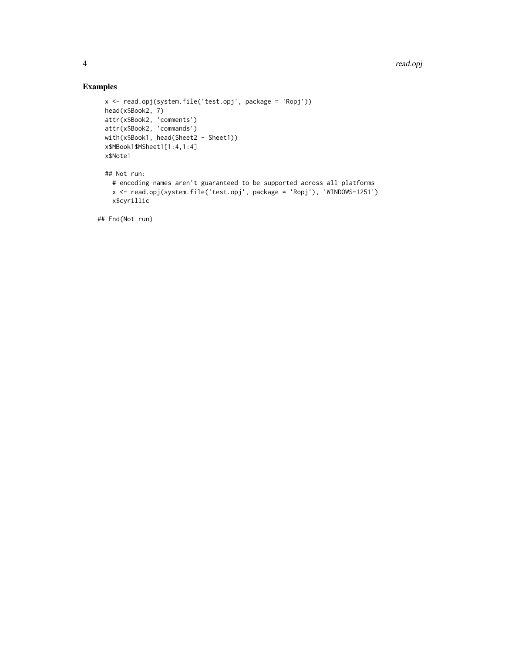## Examples

```
x <- read.opj(system.file('test.opj', package = 'Ropj'))
head(x$Book2, 7)
attr(x$Book2, 'comments')
attr(x$Book2, 'commands')
with(x$Book1, head(Sheet2 - Sheet1))
x$MBook1$MSheet1[1:4,1:4]
x$Note1
## Not run:
  # encoding names aren't guaranteed to be supported across all platforms
  x <- read.opj(system.file('test.opj', package = 'Ropj'), 'WINDOWS-1251')
  x$cyrillic
```
## End(Not run)